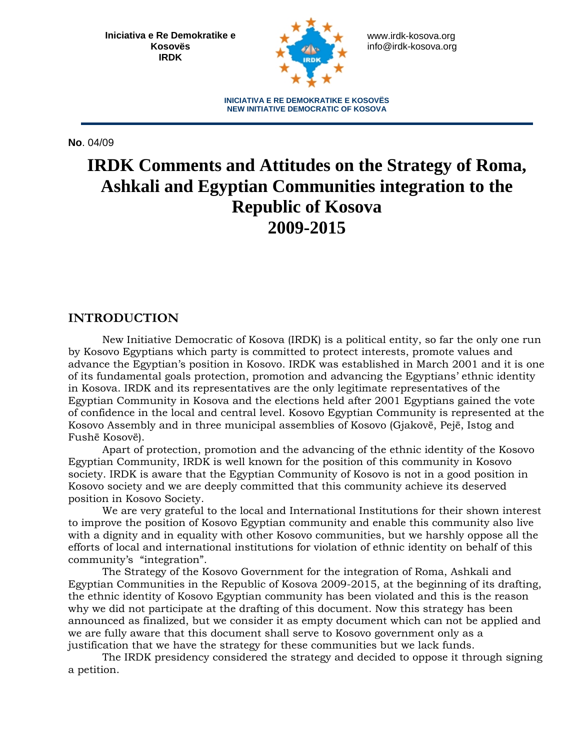**Iniciativa e Re Demokratike e Kosovës IRDK** 



www.irdk-kosova.org info@irdk-kosova.org

**INICIATIVA E RE DEMOKRATIKE E KOSOVËS NEW INITIATIVE DEMOCRATIC OF KOSOVA**

**No**. 04/09

# **IRDK Comments and Attitudes on the Strategy of Roma, Ashkali and Egyptian Communities integration to the Republic of Kosova 2009-2015**

### **INTRODUCTION**

New Initiative Democratic of Kosova (IRDK) is a political entity, so far the only one run by Kosovo Egyptians which party is committed to protect interests, promote values and advance the Egyptian's position in Kosovo. IRDK was established in March 2001 and it is one of its fundamental goals protection, promotion and advancing the Egyptians' ethnic identity in Kosova. IRDK and its representatives are the only legitimate representatives of the Egyptian Community in Kosova and the elections held after 2001 Egyptians gained the vote of confidence in the local and central level. Kosovo Egyptian Community is represented at the Kosovo Assembly and in three municipal assemblies of Kosovo (Gjakovë, Pejë, Istog and Fushë Kosovë).

Apart of protection, promotion and the advancing of the ethnic identity of the Kosovo Egyptian Community, IRDK is well known for the position of this community in Kosovo society. IRDK is aware that the Egyptian Community of Kosovo is not in a good position in Kosovo society and we are deeply committed that this community achieve its deserved position in Kosovo Society.

We are very grateful to the local and International Institutions for their shown interest to improve the position of Kosovo Egyptian community and enable this community also live with a dignity and in equality with other Kosovo communities, but we harshly oppose all the efforts of local and international institutions for violation of ethnic identity on behalf of this community's "integration".

The Strategy of the Kosovo Government for the integration of Roma, Ashkali and Egyptian Communities in the Republic of Kosova 2009-2015, at the beginning of its drafting, the ethnic identity of Kosovo Egyptian community has been violated and this is the reason why we did not participate at the drafting of this document. Now this strategy has been announced as finalized, but we consider it as empty document which can not be applied and we are fully aware that this document shall serve to Kosovo government only as a justification that we have the strategy for these communities but we lack funds.

The IRDK presidency considered the strategy and decided to oppose it through signing a petition.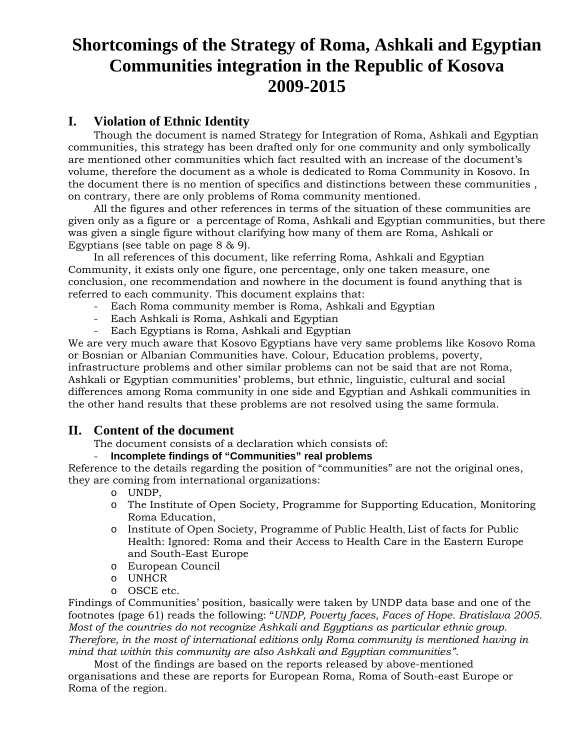# **Shortcomings of the Strategy of Roma, Ashkali and Egyptian Communities integration in the Republic of Kosova 2009-2015**

## **I. Violation of Ethnic Identity**

Though the document is named Strategy for Integration of Roma, Ashkali and Egyptian communities, this strategy has been drafted only for one community and only symbolically are mentioned other communities which fact resulted with an increase of the document's volume, therefore the document as a whole is dedicated to Roma Community in Kosovo. In the document there is no mention of specifics and distinctions between these communities , on contrary, there are only problems of Roma community mentioned.

All the figures and other references in terms of the situation of these communities are given only as a figure or a percentage of Roma, Ashkali and Egyptian communities, but there was given a single figure without clarifying how many of them are Roma, Ashkali or Egyptians (see table on page 8 & 9).

In all references of this document, like referring Roma, Ashkali and Egyptian Community, it exists only one figure, one percentage, only one taken measure, one conclusion, one recommendation and nowhere in the document is found anything that is referred to each community. This document explains that:

- Each Roma community member is Roma, Ashkali and Egyptian
- Each Ashkali is Roma, Ashkali and Egyptian
- Each Egyptians is Roma, Ashkali and Egyptian

We are very much aware that Kosovo Egyptians have very same problems like Kosovo Roma or Bosnian or Albanian Communities have. Colour, Education problems, poverty, infrastructure problems and other similar problems can not be said that are not Roma, Ashkali or Egyptian communities' problems, but ethnic, linguistic, cultural and social differences among Roma community in one side and Egyptian and Ashkali communities in the other hand results that these problems are not resolved using the same formula.

## **II. Content of the document**

The document consists of a declaration which consists of:

### - **Incomplete findings of "Communities" real problems**

Reference to the details regarding the position of "communities" are not the original ones, they are coming from international organizations:

- o UNDP,
- o The Institute of Open Society, Programme for Supporting Education, Monitoring Roma Education,
- o Institute of Open Society, Programme of Public Health, List of facts for Public Health: Ignored: Roma and their Access to Health Care in the Eastern Europe and South-East Europe
- o European Council
- o UNHCR
- o OSCE etc.

Findings of Communities' position, basically were taken by UNDP data base and one of the footnotes (page 61) reads the following: "*UNDP, Poverty faces, Faces of Hope. Bratislava 2005. Most of the countries do not recognize Ashkali and Egyptians as particular ethnic group. Therefore, in the most of international editions only Roma community is mentioned having in mind that within this community are also Ashkali and Egyptian communities".*

Most of the findings are based on the reports released by above-mentioned organisations and these are reports for European Roma, Roma of South-east Europe or Roma of the region.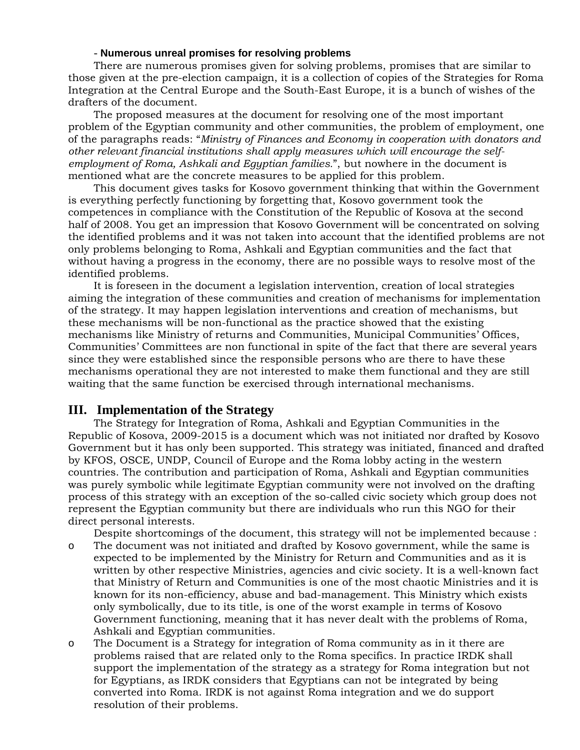#### - **Numerous unreal promises for resolving problems**

There are numerous promises given for solving problems, promises that are similar to those given at the pre-election campaign, it is a collection of copies of the Strategies for Roma Integration at the Central Europe and the South-East Europe, it is a bunch of wishes of the drafters of the document.

The proposed measures at the document for resolving one of the most important problem of the Egyptian community and other communities, the problem of employment, one of the paragraphs reads: "*Ministry of Finances and Economy in cooperation with donators and other relevant financial institutions shall apply measures which will encourage the selfemployment of Roma, Ashkali and Egyptian families.*", but nowhere in the document is mentioned what are the concrete measures to be applied for this problem.

This document gives tasks for Kosovo government thinking that within the Government is everything perfectly functioning by forgetting that, Kosovo government took the competences in compliance with the Constitution of the Republic of Kosova at the second half of 2008. You get an impression that Kosovo Government will be concentrated on solving the identified problems and it was not taken into account that the identified problems are not only problems belonging to Roma, Ashkali and Egyptian communities and the fact that without having a progress in the economy, there are no possible ways to resolve most of the identified problems.

It is foreseen in the document a legislation intervention, creation of local strategies aiming the integration of these communities and creation of mechanisms for implementation of the strategy. It may happen legislation interventions and creation of mechanisms, but these mechanisms will be non-functional as the practice showed that the existing mechanisms like Ministry of returns and Communities, Municipal Communities' Offices, Communities' Committees are non functional in spite of the fact that there are several years since they were established since the responsible persons who are there to have these mechanisms operational they are not interested to make them functional and they are still waiting that the same function be exercised through international mechanisms.

#### **III. Implementation of the Strategy**

The Strategy for Integration of Roma, Ashkali and Egyptian Communities in the Republic of Kosova, 2009-2015 is a document which was not initiated nor drafted by Kosovo Government but it has only been supported. This strategy was initiated, financed and drafted by KFOS, OSCE, UNDP, Council of Europe and the Roma lobby acting in the western countries. The contribution and participation of Roma, Ashkali and Egyptian communities was purely symbolic while legitimate Egyptian community were not involved on the drafting process of this strategy with an exception of the so-called civic society which group does not represent the Egyptian community but there are individuals who run this NGO for their direct personal interests.

Despite shortcomings of the document, this strategy will not be implemented because :

- o The document was not initiated and drafted by Kosovo government, while the same is expected to be implemented by the Ministry for Return and Communities and as it is written by other respective Ministries, agencies and civic society. It is a well-known fact that Ministry of Return and Communities is one of the most chaotic Ministries and it is known for its non-efficiency, abuse and bad-management. This Ministry which exists only symbolically, due to its title, is one of the worst example in terms of Kosovo Government functioning, meaning that it has never dealt with the problems of Roma, Ashkali and Egyptian communities.
- o The Document is a Strategy for integration of Roma community as in it there are problems raised that are related only to the Roma specifics. In practice IRDK shall support the implementation of the strategy as a strategy for Roma integration but not for Egyptians, as IRDK considers that Egyptians can not be integrated by being converted into Roma. IRDK is not against Roma integration and we do support resolution of their problems.